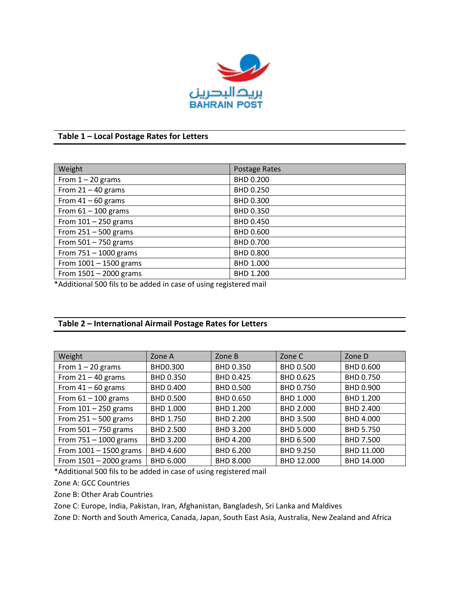

# **Table 1 – Local Postage Rates for Letters**

| Weight                   | Postage Rates |
|--------------------------|---------------|
| From $1 - 20$ grams      | BHD 0.200     |
| From $21 - 40$ grams     | BHD 0.250     |
| From $41 - 60$ grams     | BHD 0.300     |
| From $61 - 100$ grams    | BHD 0.350     |
| From $101 - 250$ grams   | BHD 0.450     |
| From $251 - 500$ grams   | BHD 0.600     |
| From $501 - 750$ grams   | BHD 0.700     |
| From $751 - 1000$ grams  | BHD 0.800     |
| From $1001 - 1500$ grams | BHD 1.000     |
| From $1501 - 2000$ grams | BHD 1.200     |

\*Additional 500 fils to be added in case of using registered mail

## **Table 2 – International Airmail Postage Rates for Letters**

| Weight                   | Zone A    | Zone B           | Zone C           | Zone D           |
|--------------------------|-----------|------------------|------------------|------------------|
| From $1 - 20$ grams      | BHD0.300  | BHD 0.350        | <b>BHD 0.500</b> | BHD 0.600        |
| From $21 - 40$ grams     | BHD 0.350 | BHD 0.425        | BHD 0.625        | BHD 0.750        |
| From $41 - 60$ grams     | BHD 0.400 | <b>BHD 0.500</b> | BHD 0.750        | BHD 0.900        |
| From $61 - 100$ grams    | BHD 0.500 | BHD 0.650        | BHD 1.000        | BHD 1.200        |
| From $101 - 250$ grams   | BHD 1.000 | BHD 1.200        | BHD 2.000        | BHD 2.400        |
| From $251 - 500$ grams   | BHD 1.750 | BHD 2.200        | <b>BHD 3.500</b> | BHD 4.000        |
| From $501 - 750$ grams   | BHD 2.500 | BHD 3.200        | <b>BHD 5.000</b> | <b>BHD 5.750</b> |
| From $751 - 1000$ grams  | BHD 3.200 | BHD 4.200        | BHD 6.500        | BHD 7.500        |
| From $1001 - 1500$ grams | BHD 4.600 | BHD 6.200        | BHD 9.250        | BHD 11.000       |
| From $1501 - 2000$ grams | BHD 6.000 | BHD 8.000        | BHD 12.000       | BHD 14.000       |

\*Additional 500 fils to be added in case of using registered mail

Zone A: GCC Countries

Zone B: Other Arab Countries

Zone C: Europe, India, Pakistan, Iran, Afghanistan, Bangladesh, Sri Lanka and Maldives

Zone D: North and South America, Canada, Japan, South East Asia, Australia, New Zealand and Africa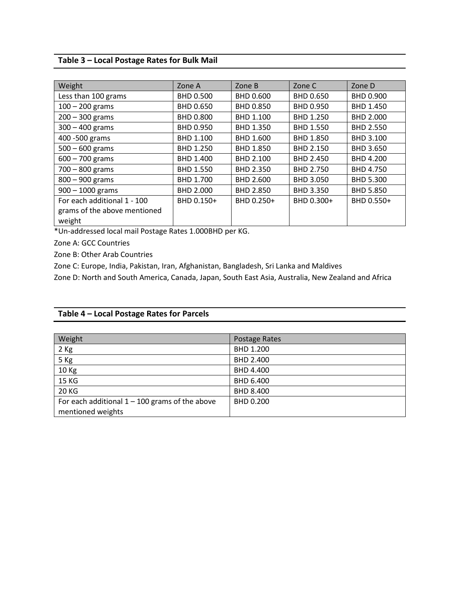# **Table 3 – Local Postage Rates for Bulk Mail**

| Weight                       | Zone A           | Zone B           | Zone C           | Zone D           |
|------------------------------|------------------|------------------|------------------|------------------|
| Less than 100 grams          | <b>BHD 0.500</b> | BHD 0.600        | BHD 0.650        | BHD 0.900        |
| $100 - 200$ grams            | <b>BHD 0.650</b> | BHD 0.850        | BHD 0.950        | BHD 1.450        |
| $200 - 300$ grams            | <b>BHD 0.800</b> | BHD 1.100        | BHD 1.250        | BHD 2.000        |
| $300 - 400$ grams            | BHD 0.950        | BHD 1.350        | <b>BHD 1.550</b> | <b>BHD 2.550</b> |
| 400 - 500 grams              | BHD 1.100        | BHD 1.600        | BHD 1.850        | BHD 3.100        |
| $500 - 600$ grams            | <b>BHD 1.250</b> | <b>BHD 1.850</b> | BHD 2.150        | <b>BHD 3.650</b> |
| $600 - 700$ grams            | BHD 1.400        | BHD 2.100        | BHD 2.450        | BHD 4.200        |
| $700 - 800$ grams            | <b>BHD 1.550</b> | BHD 2.350        | BHD 2.750        | BHD 4.750        |
| $800 - 900$ grams            | BHD 1.700        | BHD 2.600        | BHD 3.050        | <b>BHD 5.300</b> |
| $900 - 1000$ grams           | BHD 2.000        | BHD 2.850        | BHD 3.350        | <b>BHD 5.850</b> |
| For each additional 1 - 100  | BHD 0.150+       | BHD 0.250+       | BHD 0.300+       | BHD 0.550+       |
| grams of the above mentioned |                  |                  |                  |                  |
| weight                       |                  |                  |                  |                  |

\*Un-addressed local mail Postage Rates 1.000BHD per KG.

Zone A: GCC Countries

Zone B: Other Arab Countries

Zone C: Europe, India, Pakistan, Iran, Afghanistan, Bangladesh, Sri Lanka and Maldives

Zone D: North and South America, Canada, Japan, South East Asia, Australia, New Zealand and Africa

### **Table 4 – Local Postage Rates for Parcels**

| Weight                                           | <b>Postage Rates</b> |
|--------------------------------------------------|----------------------|
| 2 Kg                                             | BHD 1.200            |
| 5 Kg                                             | BHD 2.400            |
| 10 Kg                                            | BHD 4.400            |
| 15 KG                                            | BHD 6.400            |
| 20 KG                                            | BHD 8.400            |
| For each additional $1 - 100$ grams of the above | BHD 0.200            |
| mentioned weights                                |                      |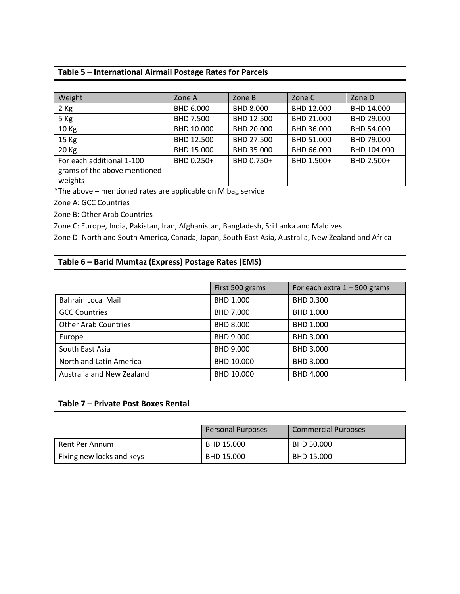## **Table 5 – International Airmail Postage Rates for Parcels**

| Weight                                                               | Zone A     | Zone B     | Zone C     | Zone D      |
|----------------------------------------------------------------------|------------|------------|------------|-------------|
| $2$ Kg                                                               | BHD 6.000  | BHD 8.000  | BHD 12.000 | BHD 14.000  |
| 5 Kg                                                                 | BHD 7.500  | BHD 12.500 | BHD 21.000 | BHD 29.000  |
| 10 Kg                                                                | BHD 10.000 | BHD 20.000 | BHD 36.000 | BHD 54.000  |
| 15 Kg                                                                | BHD 12.500 | BHD 27.500 | BHD 51.000 | BHD 79.000  |
| 20 Kg                                                                | BHD 15.000 | BHD 35.000 | BHD 66.000 | BHD 104.000 |
| For each additional 1-100<br>grams of the above mentioned<br>weights | BHD 0.250+ | BHD 0.750+ | BHD 1.500+ | BHD 2.500+  |

\*The above – mentioned rates are applicable on M bag service

Zone A: GCC Countries

Zone B: Other Arab Countries

Zone C: Europe, India, Pakistan, Iran, Afghanistan, Bangladesh, Sri Lanka and Maldives

Zone D: North and South America, Canada, Japan, South East Asia, Australia, New Zealand and Africa

## **Table 6 – Barid Mumtaz (Express) Postage Rates (EMS)**

|                             | First 500 grams  | For each extra $1 - 500$ grams |
|-----------------------------|------------------|--------------------------------|
| <b>Bahrain Local Mail</b>   | BHD 1.000        | <b>BHD 0.300</b>               |
| <b>GCC Countries</b>        | BHD 7.000        | BHD 1.000                      |
| <b>Other Arab Countries</b> | <b>BHD 8.000</b> | BHD 1.000                      |
| Europe                      | BHD 9.000        | BHD 3.000                      |
| South East Asia             | BHD 9.000        | BHD 3.000                      |
| North and Latin America     | BHD 10.000       | BHD 3.000                      |
| Australia and New Zealand   | BHD 10.000       | BHD 4.000                      |

#### **Table 7 – Private Post Boxes Rental**

|                           | <b>Personal Purposes</b> | <b>Commercial Purposes</b> |
|---------------------------|--------------------------|----------------------------|
| Rent Per Annum            | BHD 15.000               | BHD 50.000                 |
| Fixing new locks and keys | BHD 15.000               | BHD 15.000                 |